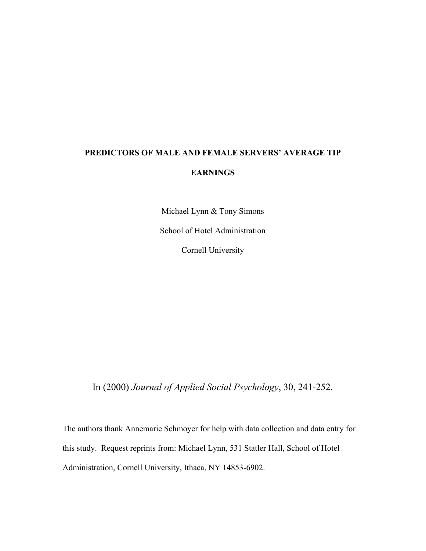# **PREDICTORS OF MALE AND FEMALE SERVERS' AVERAGE TIP EARNINGS**

Michael Lynn & Tony Simons

School of Hotel Administration

Cornell University

In (2000) *Journal of Applied Social Psychology*, 30, 241-252.

The authors thank Annemarie Schmoyer for help with data collection and data entry for this study. Request reprints from: Michael Lynn, 531 Statler Hall, School of Hotel Administration, Cornell University, Ithaca, NY 14853-6902.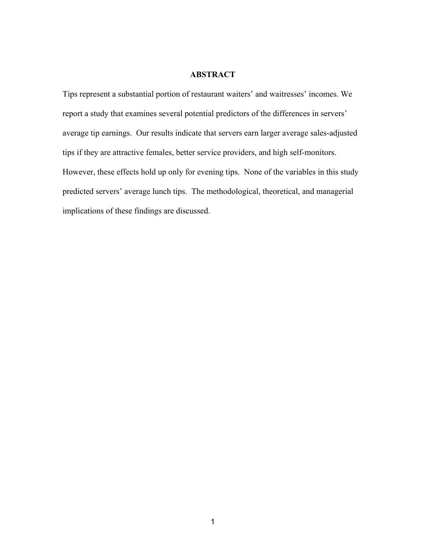## **ABSTRACT**

Tips represent a substantial portion of restaurant waiters' and waitresses' incomes. We report a study that examines several potential predictors of the differences in servers' average tip earnings. Our results indicate that servers earn larger average sales-adjusted tips if they are attractive females, better service providers, and high self-monitors. However, these effects hold up only for evening tips. None of the variables in this study predicted servers' average lunch tips. The methodological, theoretical, and managerial implications of these findings are discussed.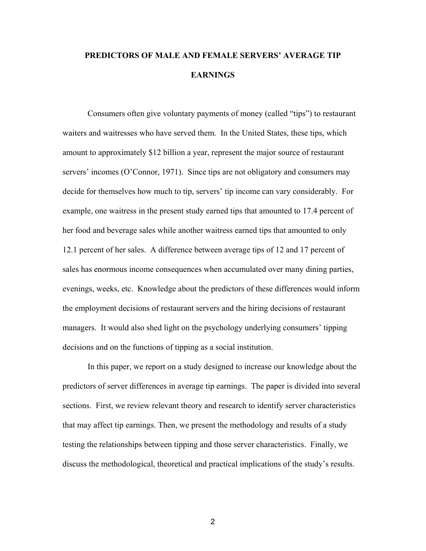## **PREDICTORS OF MALE AND FEMALE SERVERS' AVERAGE TIP EARNINGS**

 Consumers often give voluntary payments of money (called "tips") to restaurant waiters and waitresses who have served them. In the United States, these tips, which amount to approximately \$12 billion a year, represent the major source of restaurant servers' incomes (O'Connor, 1971). Since tips are not obligatory and consumers may decide for themselves how much to tip, servers' tip income can vary considerably. For example, one waitress in the present study earned tips that amounted to 17.4 percent of her food and beverage sales while another waitress earned tips that amounted to only 12.1 percent of her sales. A difference between average tips of 12 and 17 percent of sales has enormous income consequences when accumulated over many dining parties, evenings, weeks, etc. Knowledge about the predictors of these differences would inform the employment decisions of restaurant servers and the hiring decisions of restaurant managers. It would also shed light on the psychology underlying consumers' tipping decisions and on the functions of tipping as a social institution.

 In this paper, we report on a study designed to increase our knowledge about the predictors of server differences in average tip earnings. The paper is divided into several sections. First, we review relevant theory and research to identify server characteristics that may affect tip earnings. Then, we present the methodology and results of a study testing the relationships between tipping and those server characteristics. Finally, we discuss the methodological, theoretical and practical implications of the study's results.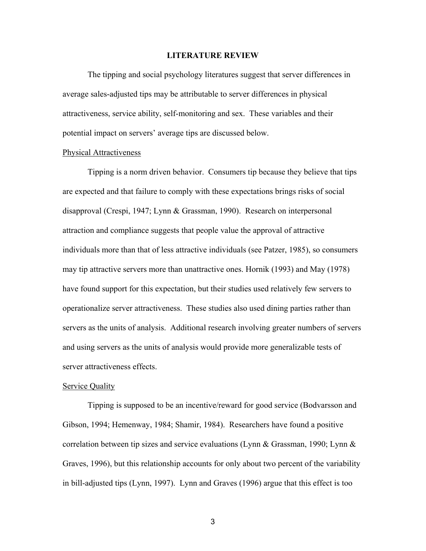### **LITERATURE REVIEW**

 The tipping and social psychology literatures suggest that server differences in average sales-adjusted tips may be attributable to server differences in physical attractiveness, service ability, self-monitoring and sex. These variables and their potential impact on servers' average tips are discussed below.

#### Physical Attractiveness

 Tipping is a norm driven behavior. Consumers tip because they believe that tips are expected and that failure to comply with these expectations brings risks of social disapproval (Crespi, 1947; Lynn & Grassman, 1990). Research on interpersonal attraction and compliance suggests that people value the approval of attractive individuals more than that of less attractive individuals (see Patzer, 1985), so consumers may tip attractive servers more than unattractive ones. Hornik (1993) and May (1978) have found support for this expectation, but their studies used relatively few servers to operationalize server attractiveness. These studies also used dining parties rather than servers as the units of analysis. Additional research involving greater numbers of servers and using servers as the units of analysis would provide more generalizable tests of server attractiveness effects.

### Service Quality

 Tipping is supposed to be an incentive/reward for good service (Bodvarsson and Gibson, 1994; Hemenway, 1984; Shamir, 1984). Researchers have found a positive correlation between tip sizes and service evaluations (Lynn & Grassman, 1990; Lynn & Graves, 1996), but this relationship accounts for only about two percent of the variability in bill-adjusted tips (Lynn, 1997). Lynn and Graves (1996) argue that this effect is too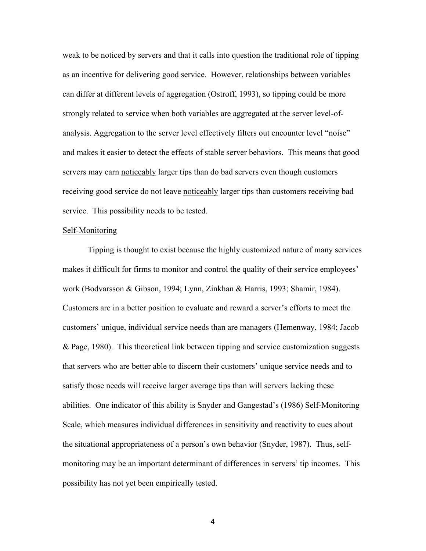weak to be noticed by servers and that it calls into question the traditional role of tipping as an incentive for delivering good service. However, relationships between variables can differ at different levels of aggregation (Ostroff, 1993), so tipping could be more strongly related to service when both variables are aggregated at the server level-ofanalysis. Aggregation to the server level effectively filters out encounter level "noise" and makes it easier to detect the effects of stable server behaviors. This means that good servers may earn noticeably larger tips than do bad servers even though customers receiving good service do not leave noticeably larger tips than customers receiving bad service. This possibility needs to be tested.

## Self-Monitoring

 Tipping is thought to exist because the highly customized nature of many services makes it difficult for firms to monitor and control the quality of their service employees' work (Bodvarsson & Gibson, 1994; Lynn, Zinkhan & Harris, 1993; Shamir, 1984). Customers are in a better position to evaluate and reward a server's efforts to meet the customers' unique, individual service needs than are managers (Hemenway, 1984; Jacob & Page, 1980). This theoretical link between tipping and service customization suggests that servers who are better able to discern their customers' unique service needs and to satisfy those needs will receive larger average tips than will servers lacking these abilities. One indicator of this ability is Snyder and Gangestad's (1986) Self-Monitoring Scale, which measures individual differences in sensitivity and reactivity to cues about the situational appropriateness of a person's own behavior (Snyder, 1987). Thus, selfmonitoring may be an important determinant of differences in servers' tip incomes. This possibility has not yet been empirically tested.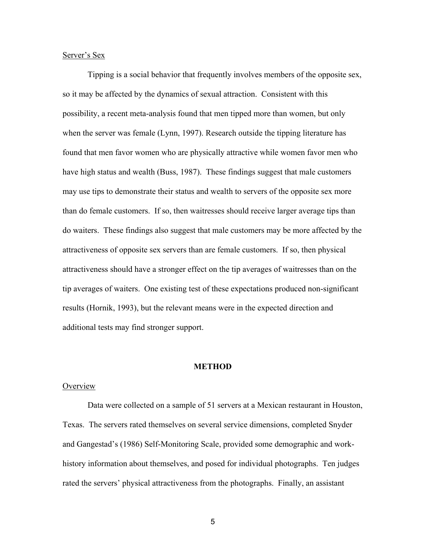## Server's Sex

 Tipping is a social behavior that frequently involves members of the opposite sex, so it may be affected by the dynamics of sexual attraction. Consistent with this possibility, a recent meta-analysis found that men tipped more than women, but only when the server was female (Lynn, 1997). Research outside the tipping literature has found that men favor women who are physically attractive while women favor men who have high status and wealth (Buss, 1987). These findings suggest that male customers may use tips to demonstrate their status and wealth to servers of the opposite sex more than do female customers. If so, then waitresses should receive larger average tips than do waiters. These findings also suggest that male customers may be more affected by the attractiveness of opposite sex servers than are female customers. If so, then physical attractiveness should have a stronger effect on the tip averages of waitresses than on the tip averages of waiters. One existing test of these expectations produced non-significant results (Hornik, 1993), but the relevant means were in the expected direction and additional tests may find stronger support.

## **METHOD**

### **Overview**

 Data were collected on a sample of 51 servers at a Mexican restaurant in Houston, Texas. The servers rated themselves on several service dimensions, completed Snyder and Gangestad's (1986) Self-Monitoring Scale, provided some demographic and workhistory information about themselves, and posed for individual photographs. Ten judges rated the servers' physical attractiveness from the photographs. Finally, an assistant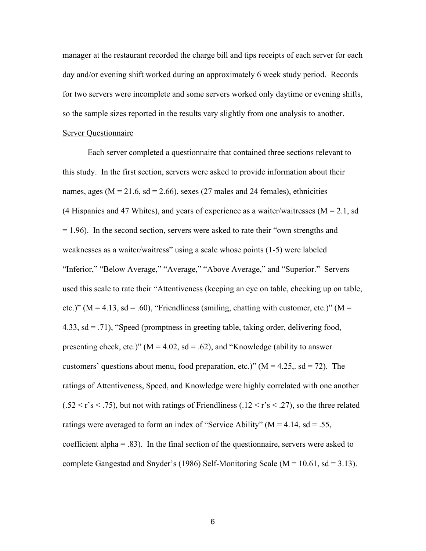manager at the restaurant recorded the charge bill and tips receipts of each server for each day and/or evening shift worked during an approximately 6 week study period. Records for two servers were incomplete and some servers worked only daytime or evening shifts, so the sample sizes reported in the results vary slightly from one analysis to another.

## Server Questionnaire

 Each server completed a questionnaire that contained three sections relevant to this study. In the first section, servers were asked to provide information about their names, ages ( $M = 21.6$ , sd = 2.66), sexes (27 males and 24 females), ethnicities (4 Hispanics and 47 Whites), and years of experience as a waiter/waitresses ( $M = 2.1$ , sd = 1.96). In the second section, servers were asked to rate their "own strengths and weaknesses as a waiter/waitress" using a scale whose points (1-5) were labeled "Inferior," "Below Average," "Average," "Above Average," and "Superior." Servers used this scale to rate their "Attentiveness (keeping an eye on table, checking up on table, etc.)" ( $M = 4.13$ , sd = .60), "Friendliness (smiling, chatting with customer, etc.)" ( $M =$ 4.33, sd = .71), "Speed (promptness in greeting table, taking order, delivering food, presenting check, etc.)" ( $M = 4.02$ , sd = .62), and "Knowledge (ability to answer customers' questions about menu, food preparation, etc.)" ( $M = 4.25$ , sd = 72). The ratings of Attentiveness, Speed, and Knowledge were highly correlated with one another  $(.52 \le r's \le .75)$ , but not with ratings of Friendliness (.12  $\le r's \le .27$ ), so the three related ratings were averaged to form an index of "Service Ability" ( $M = 4.14$ , sd = .55, coefficient alpha  $= .83$ ). In the final section of the questionnaire, servers were asked to complete Gangestad and Snyder's (1986) Self-Monitoring Scale ( $M = 10.61$ , sd = 3.13).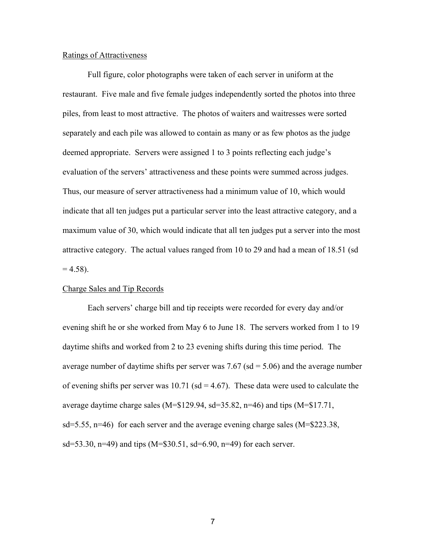## Ratings of Attractiveness

 Full figure, color photographs were taken of each server in uniform at the restaurant. Five male and five female judges independently sorted the photos into three piles, from least to most attractive. The photos of waiters and waitresses were sorted separately and each pile was allowed to contain as many or as few photos as the judge deemed appropriate. Servers were assigned 1 to 3 points reflecting each judge's evaluation of the servers' attractiveness and these points were summed across judges. Thus, our measure of server attractiveness had a minimum value of 10, which would indicate that all ten judges put a particular server into the least attractive category, and a maximum value of 30, which would indicate that all ten judges put a server into the most attractive category. The actual values ranged from 10 to 29 and had a mean of 18.51 (sd  $= 4.58$ ).

## Charge Sales and Tip Records

 Each servers' charge bill and tip receipts were recorded for every day and/or evening shift he or she worked from May 6 to June 18. The servers worked from 1 to 19 daytime shifts and worked from 2 to 23 evening shifts during this time period. The average number of daytime shifts per server was  $7.67$  (sd =  $5.06$ ) and the average number of evening shifts per server was 10.71 (sd = 4.67). These data were used to calculate the average daytime charge sales (M=\$129.94, sd=35.82, n=46) and tips (M=\$17.71, sd=5.55, n=46) for each server and the average evening charge sales (M=\$223.38, sd=53.30, n=49) and tips (M= $$30.51$ , sd=6.90, n=49) for each server.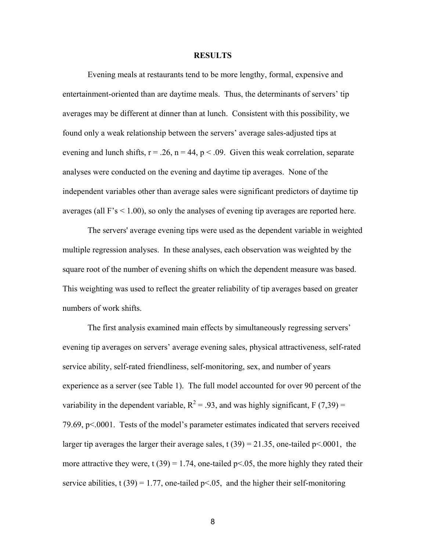#### **RESULTS**

 Evening meals at restaurants tend to be more lengthy, formal, expensive and entertainment-oriented than are daytime meals. Thus, the determinants of servers' tip averages may be different at dinner than at lunch. Consistent with this possibility, we found only a weak relationship between the servers' average sales-adjusted tips at evening and lunch shifts,  $r = .26$ ,  $n = 44$ ,  $p < .09$ . Given this weak correlation, separate analyses were conducted on the evening and daytime tip averages. None of the independent variables other than average sales were significant predictors of daytime tip averages (all  $F's < 1.00$ ), so only the analyses of evening tip averages are reported here.

 The servers' average evening tips were used as the dependent variable in weighted multiple regression analyses. In these analyses, each observation was weighted by the square root of the number of evening shifts on which the dependent measure was based. This weighting was used to reflect the greater reliability of tip averages based on greater numbers of work shifts.

 The first analysis examined main effects by simultaneously regressing servers' evening tip averages on servers' average evening sales, physical attractiveness, self-rated service ability, self-rated friendliness, self-monitoring, sex, and number of years experience as a server (see Table 1). The full model accounted for over 90 percent of the variability in the dependent variable,  $R^2 = .93$ , and was highly significant, F (7,39) = 79.69, p<.0001. Tests of the model's parameter estimates indicated that servers received larger tip averages the larger their average sales, t  $(39) = 21.35$ , one-tailed p<.0001, the more attractive they were, t (39) = 1.74, one-tailed  $p<0.05$ , the more highly they rated their service abilities, t (39) = 1.77, one-tailed  $p<0.05$ , and the higher their self-monitoring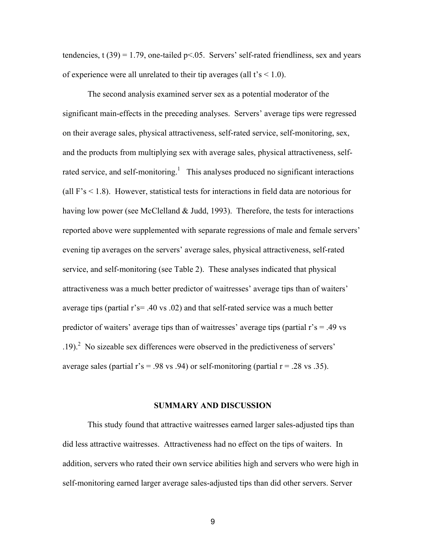tendencies, t  $(39) = 1.79$ , one-tailed  $p < 0.05$ . Servers' self-rated friendliness, sex and years of experience were all unrelated to their tip averages (all  $t's < 1.0$ ).

 The second analysis examined server sex as a potential moderator of the significant main-effects in the preceding analyses. Servers' average tips were regressed on their average sales, physical attractiveness, self-rated service, self-monitoring, sex, and the products from multiplying sex with average sales, physical attractiveness, selfrated service, and self-monitoring.<sup>1</sup> This analyses produced no significant interactions (all  $F's < 1.8$ ). However, statistical tests for interactions in field data are notorious for having low power (see McClelland & Judd, 1993). Therefore, the tests for interactions reported above were supplemented with separate regressions of male and female servers' evening tip averages on the servers' average sales, physical attractiveness, self-rated service, and self-monitoring (see Table 2). These analyses indicated that physical attractiveness was a much better predictor of waitresses' average tips than of waiters' average tips (partial r's= .40 vs .02) and that self-rated service was a much better predictor of waiters' average tips than of waitresses' average tips (partial r's = .49 vs  $(19)$ .<sup>2</sup> No sizeable sex differences were observed in the predictiveness of servers' average sales (partial  $r's = .98$  vs  $.94$ ) or self-monitoring (partial  $r = .28$  vs  $.35$ ).

## **SUMMARY AND DISCUSSION**

 This study found that attractive waitresses earned larger sales-adjusted tips than did less attractive waitresses. Attractiveness had no effect on the tips of waiters. In addition, servers who rated their own service abilities high and servers who were high in self-monitoring earned larger average sales-adjusted tips than did other servers. Server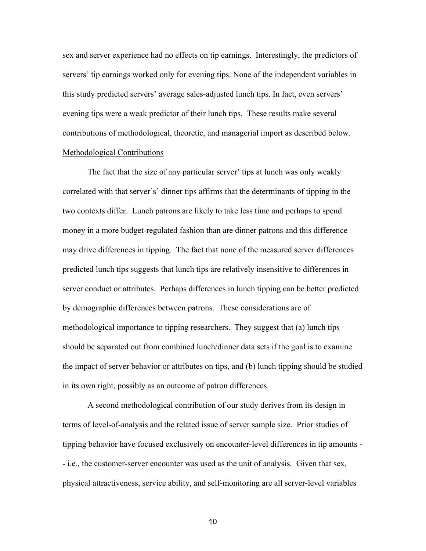sex and server experience had no effects on tip earnings. Interestingly, the predictors of servers' tip earnings worked only for evening tips. None of the independent variables in this study predicted servers' average sales-adjusted lunch tips. In fact, even servers' evening tips were a weak predictor of their lunch tips. These results make several contributions of methodological, theoretic, and managerial import as described below. Methodological Contributions

 The fact that the size of any particular server' tips at lunch was only weakly correlated with that server's' dinner tips affirms that the determinants of tipping in the two contexts differ. Lunch patrons are likely to take less time and perhaps to spend money in a more budget-regulated fashion than are dinner patrons and this difference may drive differences in tipping. The fact that none of the measured server differences predicted lunch tips suggests that lunch tips are relatively insensitive to differences in server conduct or attributes. Perhaps differences in lunch tipping can be better predicted by demographic differences between patrons. These considerations are of methodological importance to tipping researchers. They suggest that (a) lunch tips should be separated out from combined lunch/dinner data sets if the goal is to examine the impact of server behavior or attributes on tips, and (b) lunch tipping should be studied in its own right, possibly as an outcome of patron differences.

 A second methodological contribution of our study derives from its design in terms of level-of-analysis and the related issue of server sample size. Prior studies of tipping behavior have focused exclusively on encounter-level differences in tip amounts - - i.e., the customer-server encounter was used as the unit of analysis. Given that sex, physical attractiveness, service ability, and self-monitoring are all server-level variables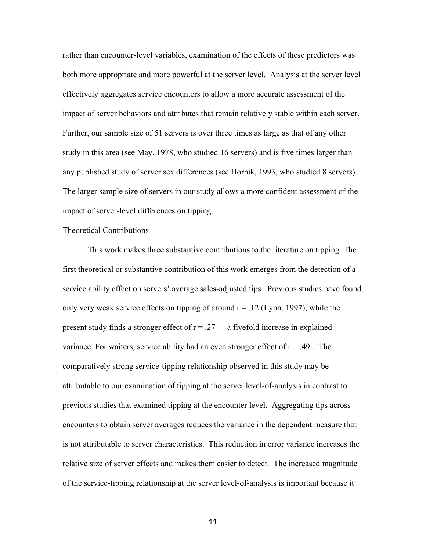rather than encounter-level variables, examination of the effects of these predictors was both more appropriate and more powerful at the server level. Analysis at the server level effectively aggregates service encounters to allow a more accurate assessment of the impact of server behaviors and attributes that remain relatively stable within each server. Further, our sample size of 51 servers is over three times as large as that of any other study in this area (see May, 1978, who studied 16 servers) and is five times larger than any published study of server sex differences (see Hornik, 1993, who studied 8 servers). The larger sample size of servers in our study allows a more confident assessment of the impact of server-level differences on tipping.

## Theoretical Contributions

 This work makes three substantive contributions to the literature on tipping. The first theoretical or substantive contribution of this work emerges from the detection of a service ability effect on servers' average sales-adjusted tips. Previous studies have found only very weak service effects on tipping of around  $r = 0.12$  (Lynn, 1997), while the present study finds a stronger effect of  $r = .27$  -- a fivefold increase in explained variance. For waiters, service ability had an even stronger effect of  $r = .49$ . The comparatively strong service-tipping relationship observed in this study may be attributable to our examination of tipping at the server level-of-analysis in contrast to previous studies that examined tipping at the encounter level. Aggregating tips across encounters to obtain server averages reduces the variance in the dependent measure that is not attributable to server characteristics. This reduction in error variance increases the relative size of server effects and makes them easier to detect. The increased magnitude of the service-tipping relationship at the server level-of-analysis is important because it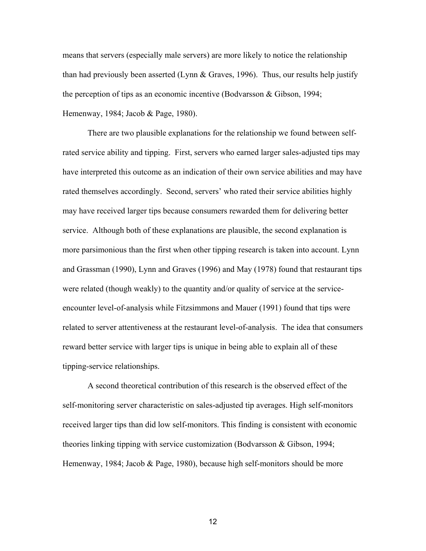means that servers (especially male servers) are more likely to notice the relationship than had previously been asserted (Lynn  $&$  Graves, 1996). Thus, our results help justify the perception of tips as an economic incentive (Bodvarsson & Gibson, 1994; Hemenway, 1984; Jacob & Page, 1980).

 There are two plausible explanations for the relationship we found between selfrated service ability and tipping. First, servers who earned larger sales-adjusted tips may have interpreted this outcome as an indication of their own service abilities and may have rated themselves accordingly. Second, servers' who rated their service abilities highly may have received larger tips because consumers rewarded them for delivering better service. Although both of these explanations are plausible, the second explanation is more parsimonious than the first when other tipping research is taken into account. Lynn and Grassman (1990), Lynn and Graves (1996) and May (1978) found that restaurant tips were related (though weakly) to the quantity and/or quality of service at the serviceencounter level-of-analysis while Fitzsimmons and Mauer (1991) found that tips were related to server attentiveness at the restaurant level-of-analysis. The idea that consumers reward better service with larger tips is unique in being able to explain all of these tipping-service relationships.

 A second theoretical contribution of this research is the observed effect of the self-monitoring server characteristic on sales-adjusted tip averages. High self-monitors received larger tips than did low self-monitors. This finding is consistent with economic theories linking tipping with service customization (Bodvarsson & Gibson, 1994; Hemenway, 1984; Jacob & Page, 1980), because high self-monitors should be more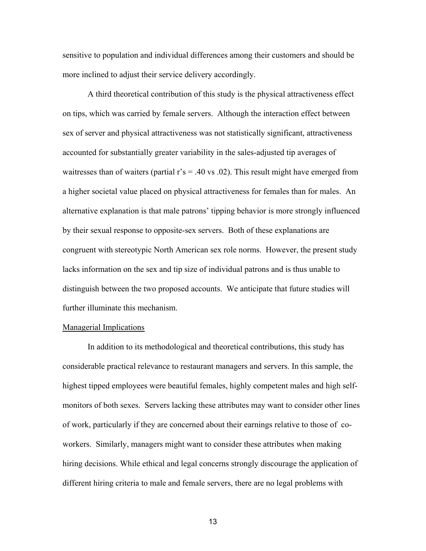sensitive to population and individual differences among their customers and should be more inclined to adjust their service delivery accordingly.

 A third theoretical contribution of this study is the physical attractiveness effect on tips, which was carried by female servers. Although the interaction effect between sex of server and physical attractiveness was not statistically significant, attractiveness accounted for substantially greater variability in the sales-adjusted tip averages of waitresses than of waiters (partial  $r$ 's = .40 vs .02). This result might have emerged from a higher societal value placed on physical attractiveness for females than for males. An alternative explanation is that male patrons' tipping behavior is more strongly influenced by their sexual response to opposite-sex servers. Both of these explanations are congruent with stereotypic North American sex role norms. However, the present study lacks information on the sex and tip size of individual patrons and is thus unable to distinguish between the two proposed accounts. We anticipate that future studies will further illuminate this mechanism.

## Managerial Implications

 In addition to its methodological and theoretical contributions, this study has considerable practical relevance to restaurant managers and servers. In this sample, the highest tipped employees were beautiful females, highly competent males and high selfmonitors of both sexes. Servers lacking these attributes may want to consider other lines of work, particularly if they are concerned about their earnings relative to those of coworkers. Similarly, managers might want to consider these attributes when making hiring decisions. While ethical and legal concerns strongly discourage the application of different hiring criteria to male and female servers, there are no legal problems with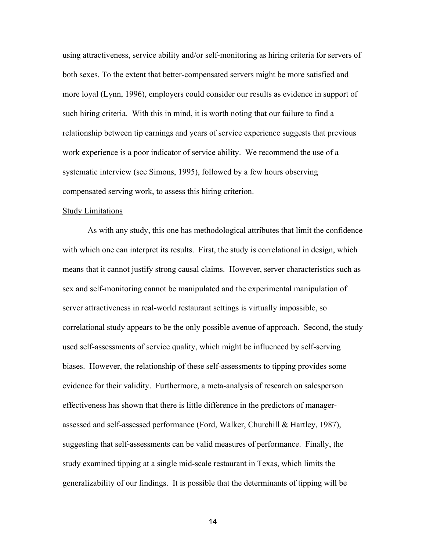using attractiveness, service ability and/or self-monitoring as hiring criteria for servers of both sexes. To the extent that better-compensated servers might be more satisfied and more loyal (Lynn, 1996), employers could consider our results as evidence in support of such hiring criteria. With this in mind, it is worth noting that our failure to find a relationship between tip earnings and years of service experience suggests that previous work experience is a poor indicator of service ability. We recommend the use of a systematic interview (see Simons, 1995), followed by a few hours observing compensated serving work, to assess this hiring criterion.

## Study Limitations

 As with any study, this one has methodological attributes that limit the confidence with which one can interpret its results. First, the study is correlational in design, which means that it cannot justify strong causal claims. However, server characteristics such as sex and self-monitoring cannot be manipulated and the experimental manipulation of server attractiveness in real-world restaurant settings is virtually impossible, so correlational study appears to be the only possible avenue of approach. Second, the study used self-assessments of service quality, which might be influenced by self-serving biases. However, the relationship of these self-assessments to tipping provides some evidence for their validity. Furthermore, a meta-analysis of research on salesperson effectiveness has shown that there is little difference in the predictors of managerassessed and self-assessed performance (Ford, Walker, Churchill & Hartley, 1987), suggesting that self-assessments can be valid measures of performance. Finally, the study examined tipping at a single mid-scale restaurant in Texas, which limits the generalizability of our findings. It is possible that the determinants of tipping will be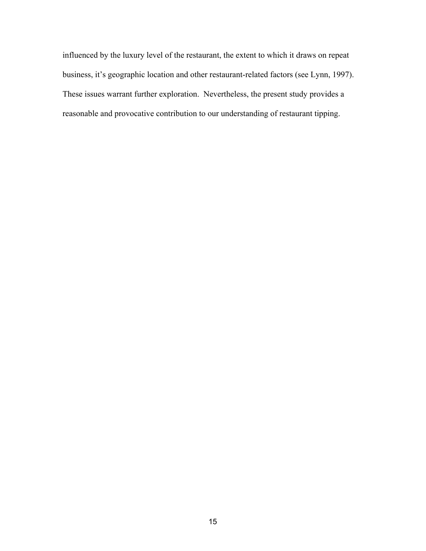influenced by the luxury level of the restaurant, the extent to which it draws on repeat business, it's geographic location and other restaurant-related factors (see Lynn, 1997). These issues warrant further exploration. Nevertheless, the present study provides a reasonable and provocative contribution to our understanding of restaurant tipping.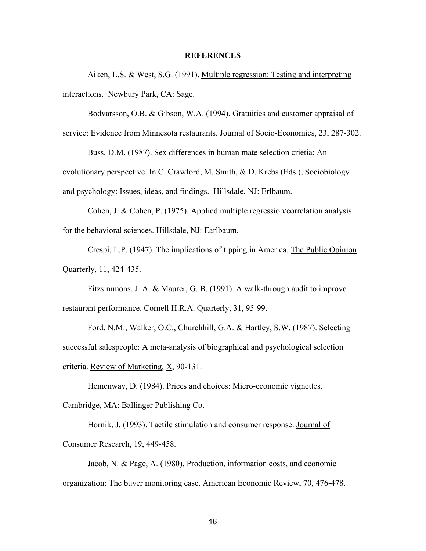## **REFERENCES**

 Aiken, L.S. & West, S.G. (1991). Multiple regression: Testing and interpreting interactions. Newbury Park, CA: Sage.

Bodvarsson, O.B. & Gibson, W.A. (1994). Gratuities and customer appraisal of service: Evidence from Minnesota restaurants. Journal of Socio-Economics, 23, 287-302.

 Buss, D.M. (1987). Sex differences in human mate selection crietia: An evolutionary perspective. In C. Crawford, M. Smith, & D. Krebs (Eds.), Sociobiology

and psychology: Issues, ideas, and findings. Hillsdale, NJ: Erlbaum.

 Cohen, J. & Cohen, P. (1975). Applied multiple regression/correlation analysis for the behavioral sciences. Hillsdale, NJ: Earlbaum.

Crespi, L.P. (1947). The implications of tipping in America. The Public Opinion Quarterly, 11, 424-435.

 Fitzsimmons, J. A. & Maurer, G. B. (1991). A walk-through audit to improve restaurant performance. Cornell H.R.A. Quarterly, 31, 95-99.

Ford, N.M., Walker, O.C., Churchhill, G.A. & Hartley, S.W. (1987). Selecting successful salespeople: A meta-analysis of biographical and psychological selection criteria. Review of Marketing, X, 90-131.

 Hemenway, D. (1984). Prices and choices: Micro-economic vignettes. Cambridge, MA: Ballinger Publishing Co.

 Hornik, J. (1993). Tactile stimulation and consumer response. Journal of Consumer Research, 19, 449-458.

 Jacob, N. & Page, A. (1980). Production, information costs, and economic organization: The buyer monitoring case. American Economic Review, 70, 476-478.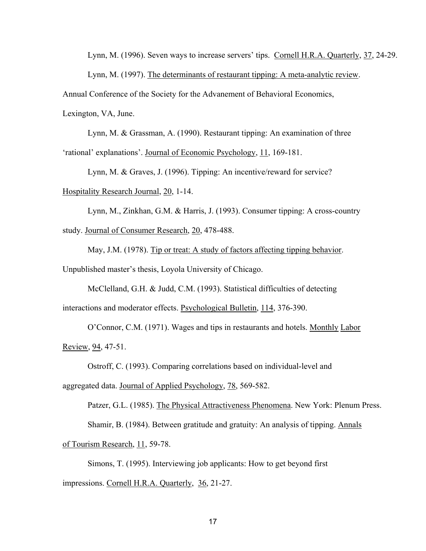Lynn, M. (1996). Seven ways to increase servers' tips. Cornell H.R.A. Quarterly, 37, 24-29.

Lynn, M. (1997). The determinants of restaurant tipping: A meta-analytic review.

Annual Conference of the Society for the Advanement of Behavioral Economics,

Lexington, VA, June.

 Lynn, M. & Grassman, A. (1990). Restaurant tipping: An examination of three 'rational' explanations'. Journal of Economic Psychology, 11, 169-181.

Lynn, M. & Graves, J. (1996). Tipping: An incentive/reward for service?

Hospitality Research Journal, 20, 1-14.

 Lynn, M., Zinkhan, G.M. & Harris, J. (1993). Consumer tipping: A cross-country study. Journal of Consumer Research, 20, 478-488.

 May, J.M. (1978). Tip or treat: A study of factors affecting tipping behavior. Unpublished master's thesis, Loyola University of Chicago.

 McClelland, G.H. & Judd, C.M. (1993). Statistical difficulties of detecting interactions and moderator effects. Psychological Bulletin, 114, 376-390.

 O'Connor, C.M. (1971). Wages and tips in restaurants and hotels. Monthly Labor Review, 94, 47-51.

Ostroff, C. (1993). Comparing correlations based on individual-level and

aggregated data. Journal of Applied Psychology, 78, 569-582.

Patzer, G.L. (1985). The Physical Attractiveness Phenomena. New York: Plenum Press.

Shamir, B. (1984). Between gratitude and gratuity: An analysis of tipping. Annals

of Tourism Research, 11, 59-78.

 Simons, T. (1995). Interviewing job applicants: How to get beyond first impressions. Cornell H.R.A. Quarterly, 36, 21-27.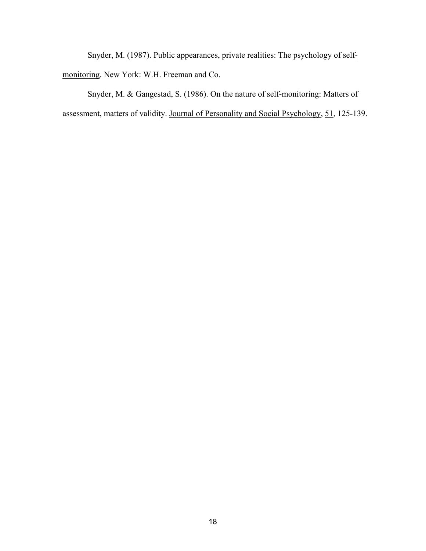Snyder, M. (1987). Public appearances, private realities: The psychology of selfmonitoring. New York: W.H. Freeman and Co.

 Snyder, M. & Gangestad, S. (1986). On the nature of self-monitoring: Matters of assessment, matters of validity. Journal of Personality and Social Psychology, 51, 125-139.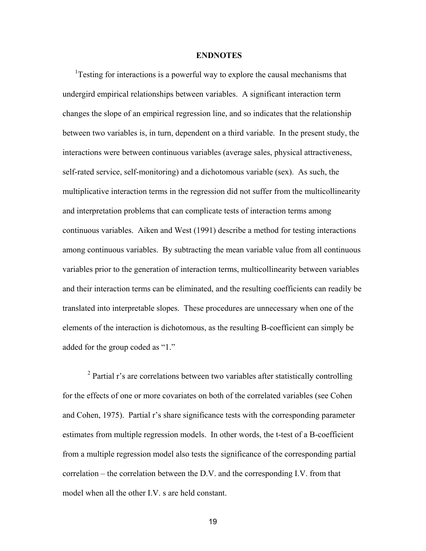### **ENDNOTES**

<sup>1</sup>Testing for interactions is a powerful way to explore the causal mechanisms that undergird empirical relationships between variables. A significant interaction term changes the slope of an empirical regression line, and so indicates that the relationship between two variables is, in turn, dependent on a third variable. In the present study, the interactions were between continuous variables (average sales, physical attractiveness, self-rated service, self-monitoring) and a dichotomous variable (sex). As such, the multiplicative interaction terms in the regression did not suffer from the multicollinearity and interpretation problems that can complicate tests of interaction terms among continuous variables. Aiken and West (1991) describe a method for testing interactions among continuous variables. By subtracting the mean variable value from all continuous variables prior to the generation of interaction terms, multicollinearity between variables and their interaction terms can be eliminated, and the resulting coefficients can readily be translated into interpretable slopes. These procedures are unnecessary when one of the elements of the interaction is dichotomous, as the resulting B-coefficient can simply be added for the group coded as "1."

<sup>2</sup> Partial r's are correlations between two variables after statistically controlling for the effects of one or more covariates on both of the correlated variables (see Cohen and Cohen, 1975). Partial r's share significance tests with the corresponding parameter estimates from multiple regression models. In other words, the t-test of a B-coefficient from a multiple regression model also tests the significance of the corresponding partial correlation – the correlation between the D.V. and the corresponding I.V. from that model when all the other I.V. s are held constant.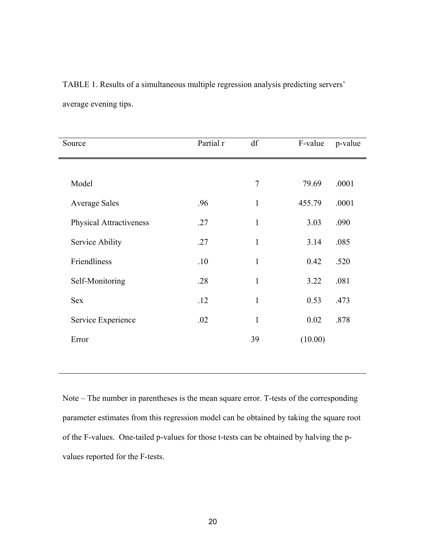| Source                         | Partial r | df             | F-value | p-value |
|--------------------------------|-----------|----------------|---------|---------|
|                                |           |                |         |         |
| Model                          |           | $\overline{7}$ | 79.69   | .0001   |
| <b>Average Sales</b>           | .96       | $\mathbf{1}$   | 455.79  | .0001   |
| <b>Physical Attractiveness</b> | .27       | 1              | 3.03    | .090    |
| Service Ability                | .27       | $\mathbf{1}$   | 3.14    | .085    |
| Friendliness                   | .10       | $\mathbf{1}$   | 0.42    | .520    |
| Self-Monitoring                | .28       | $\mathbf{1}$   | 3.22    | .081    |
| <b>Sex</b>                     | .12       | $\mathbf{1}$   | 0.53    | .473    |
| Service Experience             | .02       | $\mathbf{1}$   | 0.02    | .878    |
| Error                          |           | 39             | (10.00) |         |
|                                |           |                |         |         |

TABLE 1. Results of a simultaneous multiple regression analysis predicting servers' average evening tips.

Note – The number in parentheses is the mean square error. T-tests of the corresponding parameter estimates from this regression model can be obtained by taking the square root of the F-values. One-tailed p-values for those t-tests can be obtained by halving the pvalues reported for the F-tests.